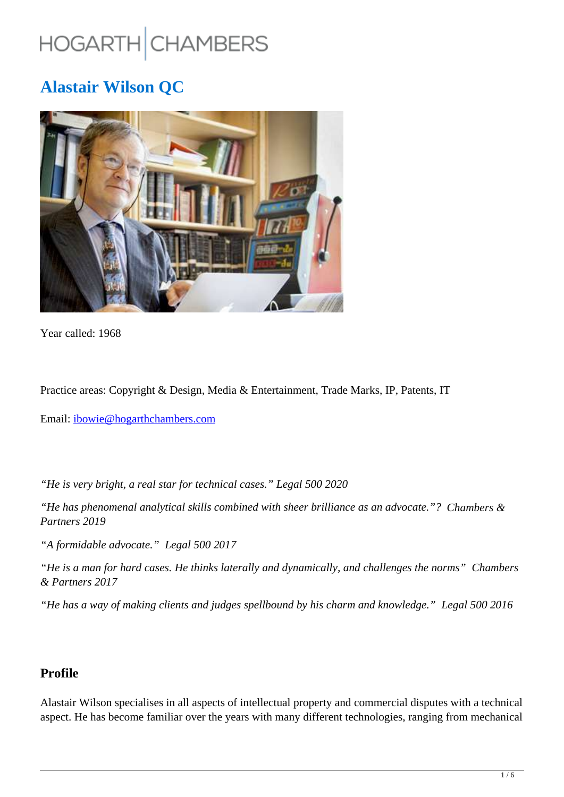# HOGARTH CHAMBERS

## **Alastair Wilson QC**



Year called: 1968

Practice areas: Copyright & Design, Media & Entertainment, Trade Marks, IP, Patents, IT

Email: ibowie@hogarthchambers.com

*"He is very bright, a real star for technical cases." Legal 500 2020*

*"He has phenomenal analytical skills combined with sheer brilliance as an advocate."? Chambers & Partners 2019*

*"A formidable advocate." Legal 500 2017*

*"He is a man for hard cases. He thinks laterally and dynamically, and challenges the norms" Chambers & Partners 2017*

*"He has a way of making clients and judges spellbound by his charm and knowledge." Legal 500 2016*

## **Profile**

Alastair Wilson specialises in all aspects of intellectual property and commercial disputes with a technical aspect. He has become familiar over the years with many different technologies, ranging from mechanical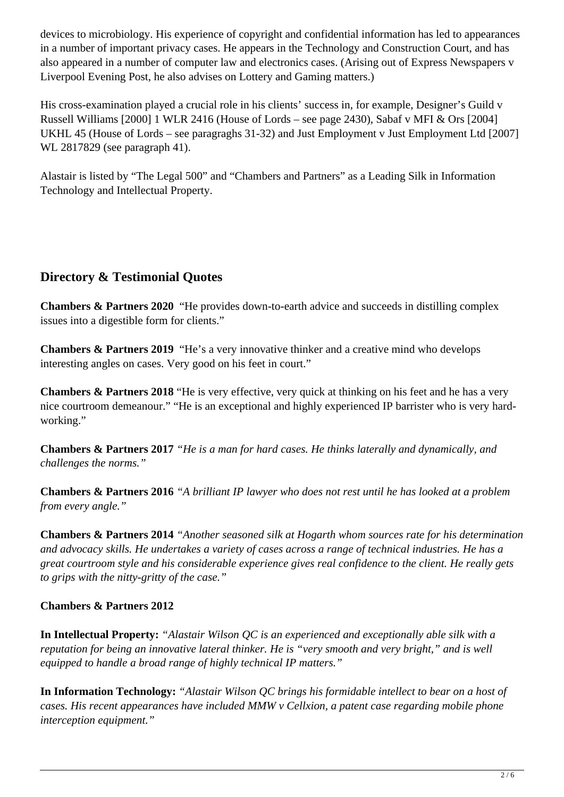devices to microbiology. His experience of copyright and confidential information has led to appearances in a number of important privacy cases. He appears in the Technology and Construction Court, and has also appeared in a number of computer law and electronics cases. (Arising out of Express Newspapers v Liverpool Evening Post, he also advises on Lottery and Gaming matters.)

His cross-examination played a crucial role in his clients' success in, for example, Designer's Guild v Russell Williams [2000] 1 WLR 2416 (House of Lords – see page 2430), Sabaf v MFI & Ors [2004] UKHL 45 (House of Lords – see paragraghs 31-32) and Just Employment v Just Employment Ltd [2007] WL 2817829 (see paragraph 41).

Alastair is listed by "The Legal 500" and "Chambers and Partners" as a Leading Silk in Information Technology and Intellectual Property.

## **Directory & Testimonial Quotes**

**Chambers & Partners 2020** "He provides down-to-earth advice and succeeds in distilling complex issues into a digestible form for clients."

**Chambers & Partners 2019** "He's a very innovative thinker and a creative mind who develops interesting angles on cases. Very good on his feet in court."

**Chambers & Partners 2018** "He is very effective, very quick at thinking on his feet and he has a very nice courtroom demeanour." "He is an exceptional and highly experienced IP barrister who is very hardworking."

**Chambers & Partners 2017** *"He is a man for hard cases. He thinks laterally and dynamically, and challenges the norms."* 

**Chambers & Partners 2016** *"A brilliant IP lawyer who does not rest until he has looked at a problem from every angle."* 

**Chambers & Partners 2014** *"Another seasoned silk at Hogarth whom sources rate for his determination and advocacy skills. He undertakes a variety of cases across a range of technical industries. He has a great courtroom style and his considerable experience gives real confidence to the client. He really gets to grips with the nitty-gritty of the case."*

#### **Chambers & Partners 2012**

**In Intellectual Property:** *"Alastair Wilson QC is an experienced and exceptionally able silk with a reputation for being an innovative lateral thinker. He is "very smooth and very bright," and is well equipped to handle a broad range of highly technical IP matters."*

**In Information Technology:** *"Alastair Wilson QC brings his formidable intellect to bear on a host of cases. His recent appearances have included MMW v Cellxion, a patent case regarding mobile phone interception equipment."*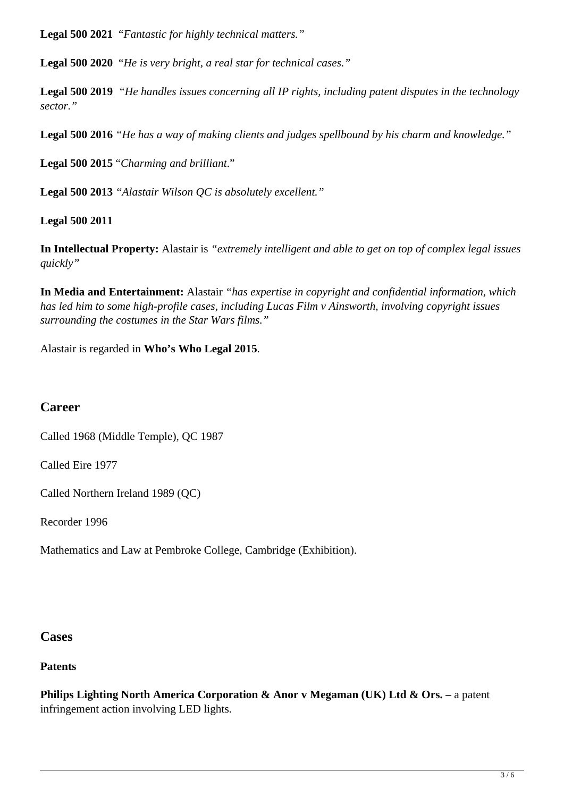**Legal 500 2021** "*Fantastic for highly technical matters."*

**Legal 500 2020** "*He is very bright, a real star for technical cases."*

**Legal 500 2019** *"He handles issues concerning all IP rights, including patent disputes in the technology sector."*

**Legal 500 2016** *"He has a way of making clients and judges spellbound by his charm and knowledge."* 

**Legal 500 2015** "*Charming and brilliant*."

**Legal 500 2013** *"Alastair Wilson QC is absolutely excellent."* 

**Legal 500 2011**

**In Intellectual Property:** Alastair is *"extremely intelligent and able to get on top of complex legal issues quickly"*

**In Media and Entertainment:** Alastair *"has expertise in copyright and confidential information, which has led him to some high-profile cases, including Lucas Film v Ainsworth, involving copyright issues surrounding the costumes in the Star Wars films."*

Alastair is regarded in **Who's Who Legal 2015**.

## **Career**

Called 1968 (Middle Temple), QC 1987

Called Eire 1977

Called Northern Ireland 1989 (QC)

Recorder 1996

Mathematics and Law at Pembroke College, Cambridge (Exhibition).

#### **Cases**

**Patents**

**Philips Lighting North America Corporation & Anor v Megaman (UK) Ltd & Ors.** – a patent infringement action involving LED lights.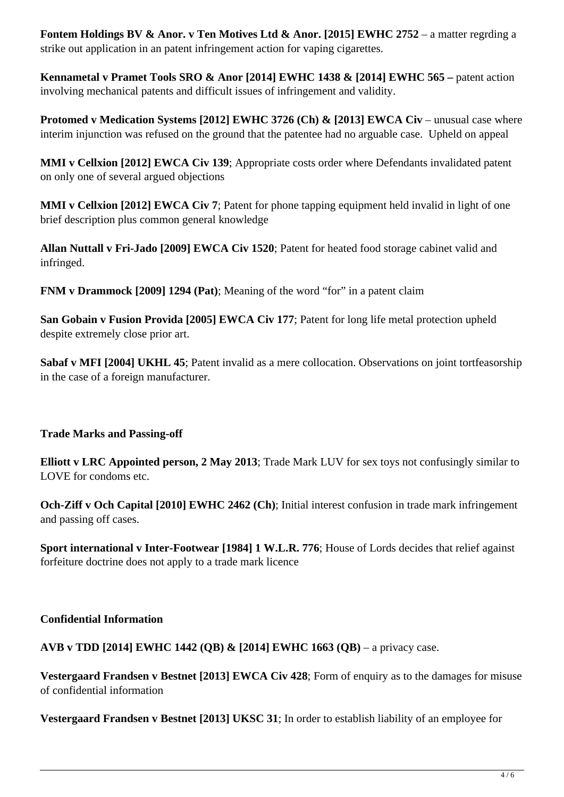**Fontem Holdings BV & Anor. v Ten Motives Ltd & Anor. [2015] EWHC 2752** – a matter regrding a strike out application in an patent infringement action for vaping cigarettes.

**Kennametal v Pramet Tools SRO & Anor [2014] EWHC 1438 & [2014] EWHC 565 –** patent action involving mechanical patents and difficult issues of infringement and validity.

**Protomed v Medication Systems [2012] EWHC 3726 (Ch) & [2013] EWCA Civ – unusual case where** interim injunction was refused on the ground that the patentee had no arguable case. Upheld on appeal

**MMI v Cellxion [2012] EWCA Civ 139**; Appropriate costs order where Defendants invalidated patent on only one of several argued objections

**MMI v Cellxion [2012] EWCA Civ 7**; Patent for phone tapping equipment held invalid in light of one brief description plus common general knowledge

**Allan Nuttall v Fri-Jado [2009] EWCA Civ 1520**; Patent for heated food storage cabinet valid and infringed.

**FNM v Drammock [2009] 1294 (Pat)**; Meaning of the word "for" in a patent claim

**San Gobain v Fusion Provida [2005] EWCA Civ 177**; Patent for long life metal protection upheld despite extremely close prior art.

**Sabaf v MFI [2004] UKHL 45**; Patent invalid as a mere collocation. Observations on joint tortfeasorship in the case of a foreign manufacturer.

**Trade Marks and Passing-off**

**Elliott v LRC Appointed person, 2 May 2013**; Trade Mark LUV for sex toys not confusingly similar to LOVE for condoms etc.

**Och-Ziff v Och Capital [2010] EWHC 2462 (Ch)**; Initial interest confusion in trade mark infringement and passing off cases.

**Sport international v Inter-Footwear [1984] 1 W.L.R. 776**; House of Lords decides that relief against forfeiture doctrine does not apply to a trade mark licence

#### **Confidential Information**

**AVB v TDD [2014] EWHC 1442 (QB) & [2014] EWHC 1663 (QB)** – a privacy case.

**Vestergaard Frandsen v Bestnet [2013] EWCA Civ 428**; Form of enquiry as to the damages for misuse of confidential information

**Vestergaard Frandsen v Bestnet [2013] UKSC 31**; In order to establish liability of an employee for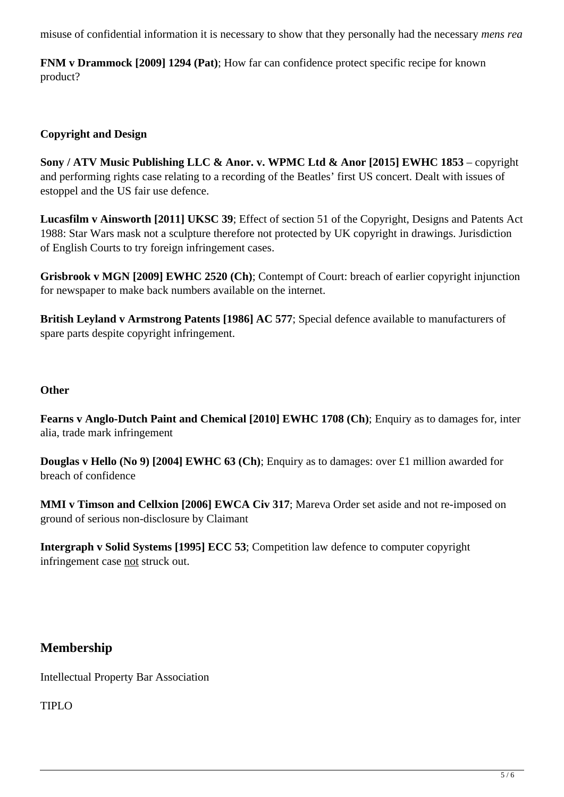misuse of confidential information it is necessary to show that they personally had the necessary *mens rea*

**FNM v Drammock [2009] 1294 (Pat)**; How far can confidence protect specific recipe for known product?

#### **Copyright and Design**

**Sony / ATV Music Publishing LLC & Anor. v. WPMC Ltd & Anor [2015] EWHC 1853** – copyright and performing rights case relating to a recording of the Beatles' first US concert. Dealt with issues of estoppel and the US fair use defence.

**Lucasfilm v Ainsworth [2011] UKSC 39**; Effect of section 51 of the Copyright, Designs and Patents Act 1988: Star Wars mask not a sculpture therefore not protected by UK copyright in drawings. Jurisdiction of English Courts to try foreign infringement cases.

**Grisbrook v MGN [2009] EWHC 2520 (Ch)**; Contempt of Court: breach of earlier copyright injunction for newspaper to make back numbers available on the internet.

**British Leyland v Armstrong Patents [1986] AC 577**; Special defence available to manufacturers of spare parts despite copyright infringement.

#### **Other**

**Fearns v Anglo-Dutch Paint and Chemical [2010] EWHC 1708 (Ch)**; Enquiry as to damages for, inter alia, trade mark infringement

**Douglas v Hello (No 9) [2004] EWHC 63 (Ch)**; Enquiry as to damages: over £1 million awarded for breach of confidence

**MMI v Timson and Cellxion [2006] EWCA Civ 317**; Mareva Order set aside and not re-imposed on ground of serious non-disclosure by Claimant

**Intergraph v Solid Systems [1995] ECC 53**; Competition law defence to computer copyright infringement case not struck out.

## **Membership**

Intellectual Property Bar Association

TIPLO